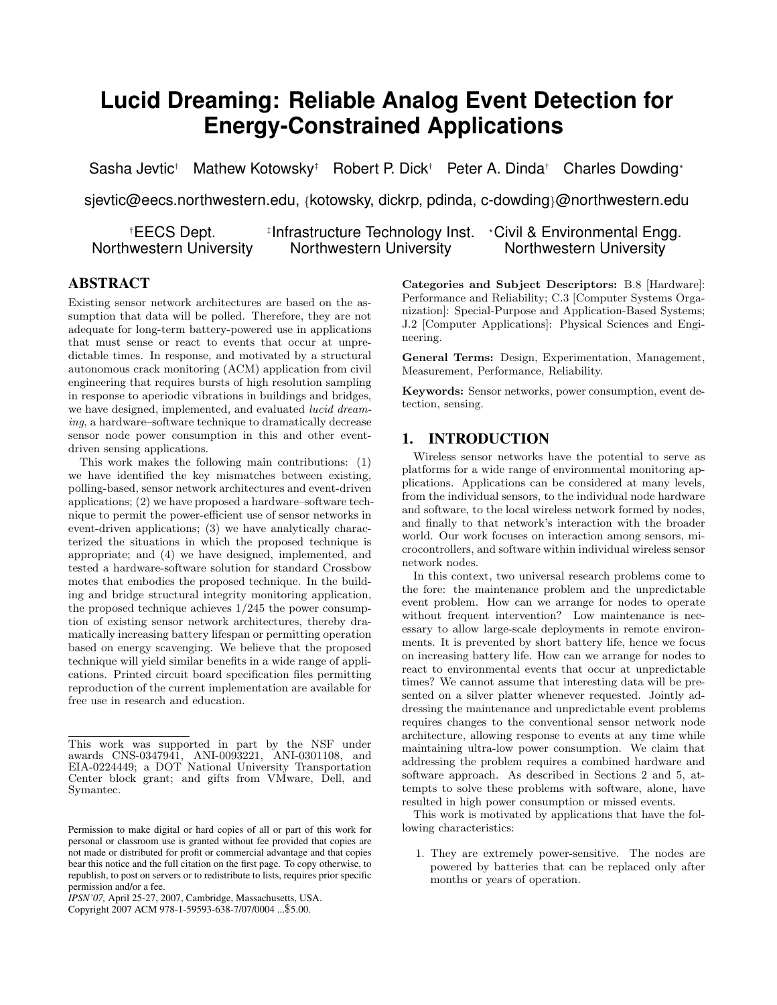# **Lucid Dreaming: Reliable Analog Event Detection for Energy-Constrained Applications**

Sasha Jevtic† Mathew Kotowsky‡ Robert P. Dick† Peter A. Dinda† Charles Dowding\*

sjevtic@eecs.northwestern.edu, {kotowsky, dickrp, pdinda, c-dowding}@northwestern.edu

<sup>†</sup>EECS Dept.<br>Northwestern University ‡Infrastructure Technology Inst. ★Civil & Environmental Engg.<br>Northwestern University Morthwestern University Northwestern University

# ABSTRACT

Existing sensor network architectures are based on the assumption that data will be polled. Therefore, they are not adequate for long-term battery-powered use in applications that must sense or react to events that occur at unpredictable times. In response, and motivated by a structural autonomous crack monitoring (ACM) application from civil engineering that requires bursts of high resolution sampling in response to aperiodic vibrations in buildings and bridges, we have designed, implemented, and evaluated *lucid dream*ing, a hardware–software technique to dramatically decrease sensor node power consumption in this and other eventdriven sensing applications.

This work makes the following main contributions: (1) we have identified the key mismatches between existing, polling-based, sensor network architectures and event-driven applications; (2) we have proposed a hardware–software technique to permit the power-efficient use of sensor networks in event-driven applications; (3) we have analytically characterized the situations in which the proposed technique is appropriate; and (4) we have designed, implemented, and tested a hardware-software solution for standard Crossbow motes that embodies the proposed technique. In the building and bridge structural integrity monitoring application, the proposed technique achieves 1/245 the power consumption of existing sensor network architectures, thereby dramatically increasing battery lifespan or permitting operation based on energy scavenging. We believe that the proposed technique will yield similar benefits in a wide range of applications. Printed circuit board specification files permitting reproduction of the current implementation are available for free use in research and education.

*IPSN'07,* April 25-27, 2007, Cambridge, Massachusetts, USA.

Copyright 2007 ACM 978-1-59593-638-7/07/0004 ...✩5.00.

Categories and Subject Descriptors: B.8 [Hardware]: Performance and Reliability; C.3 [Computer Systems Organization]: Special-Purpose and Application-Based Systems; J.2 [Computer Applications]: Physical Sciences and Engineering.

General Terms: Design, Experimentation, Management, Measurement, Performance, Reliability.

Keywords: Sensor networks, power consumption, event detection, sensing.

# 1. INTRODUCTION

Wireless sensor networks have the potential to serve as platforms for a wide range of environmental monitoring applications. Applications can be considered at many levels, from the individual sensors, to the individual node hardware and software, to the local wireless network formed by nodes, and finally to that network's interaction with the broader world. Our work focuses on interaction among sensors, microcontrollers, and software within individual wireless sensor network nodes.

In this context, two universal research problems come to the fore: the maintenance problem and the unpredictable event problem. How can we arrange for nodes to operate without frequent intervention? Low maintenance is necessary to allow large-scale deployments in remote environments. It is prevented by short battery life, hence we focus on increasing battery life. How can we arrange for nodes to react to environmental events that occur at unpredictable times? We cannot assume that interesting data will be presented on a silver platter whenever requested. Jointly addressing the maintenance and unpredictable event problems requires changes to the conventional sensor network node architecture, allowing response to events at any time while maintaining ultra-low power consumption. We claim that addressing the problem requires a combined hardware and software approach. As described in Sections 2 and 5, attempts to solve these problems with software, alone, have resulted in high power consumption or missed events.

This work is motivated by applications that have the following characteristics:

1. They are extremely power-sensitive. The nodes are powered by batteries that can be replaced only after months or years of operation.

This work was supported in part by the NSF under awards CNS-0347941, ANI-0093221, ANI-0301108, and EIA-0224449; a DOT National University Transportation Center block grant; and gifts from VMware, Dell, and Symantec.

Permission to make digital or hard copies of all or part of this work for personal or classroom use is granted without fee provided that copies are not made or distributed for profit or commercial advantage and that copies bear this notice and the full citation on the first page. To copy otherwise, to republish, to post on servers or to redistribute to lists, requires prior specific permission and/or a fee.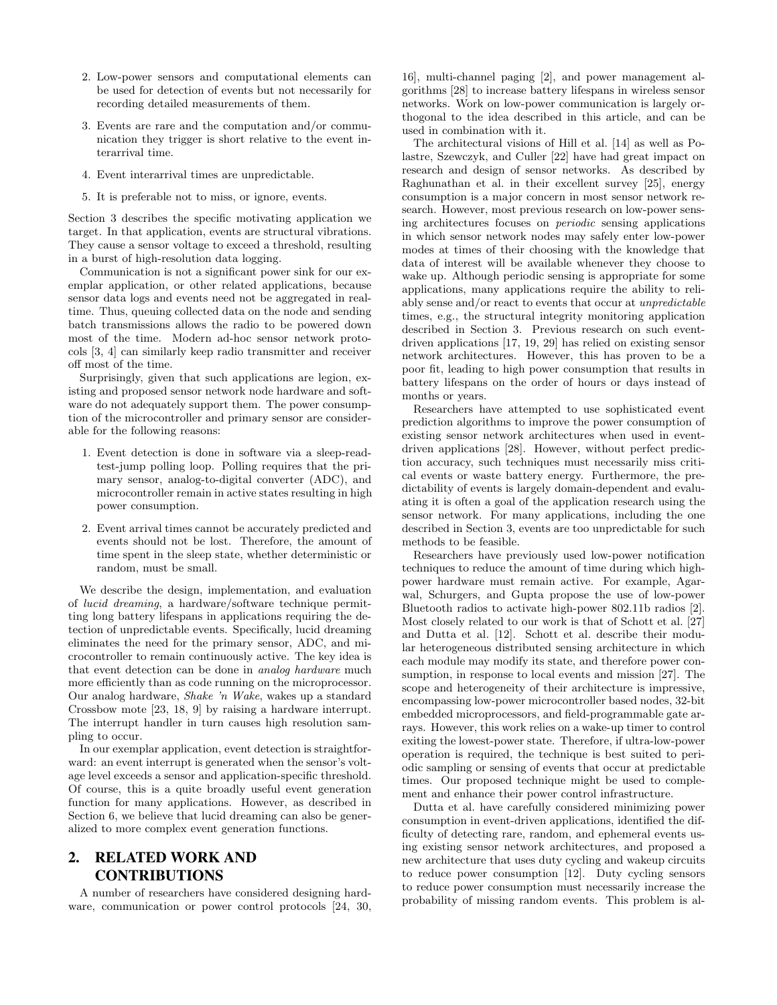- 2. Low-power sensors and computational elements can be used for detection of events but not necessarily for recording detailed measurements of them.
- 3. Events are rare and the computation and/or communication they trigger is short relative to the event interarrival time.
- 4. Event interarrival times are unpredictable.
- 5. It is preferable not to miss, or ignore, events.

Section 3 describes the specific motivating application we target. In that application, events are structural vibrations. They cause a sensor voltage to exceed a threshold, resulting in a burst of high-resolution data logging.

Communication is not a significant power sink for our exemplar application, or other related applications, because sensor data logs and events need not be aggregated in realtime. Thus, queuing collected data on the node and sending batch transmissions allows the radio to be powered down most of the time. Modern ad-hoc sensor network protocols [3, 4] can similarly keep radio transmitter and receiver off most of the time.

Surprisingly, given that such applications are legion, existing and proposed sensor network node hardware and software do not adequately support them. The power consumption of the microcontroller and primary sensor are considerable for the following reasons:

- 1. Event detection is done in software via a sleep-readtest-jump polling loop. Polling requires that the primary sensor, analog-to-digital converter (ADC), and microcontroller remain in active states resulting in high power consumption.
- 2. Event arrival times cannot be accurately predicted and events should not be lost. Therefore, the amount of time spent in the sleep state, whether deterministic or random, must be small.

We describe the design, implementation, and evaluation of lucid dreaming, a hardware/software technique permitting long battery lifespans in applications requiring the detection of unpredictable events. Specifically, lucid dreaming eliminates the need for the primary sensor, ADC, and microcontroller to remain continuously active. The key idea is that event detection can be done in analog hardware much more efficiently than as code running on the microprocessor. Our analog hardware, Shake 'n Wake, wakes up a standard Crossbow mote [23, 18, 9] by raising a hardware interrupt. The interrupt handler in turn causes high resolution sampling to occur.

In our exemplar application, event detection is straightforward: an event interrupt is generated when the sensor's voltage level exceeds a sensor and application-specific threshold. Of course, this is a quite broadly useful event generation function for many applications. However, as described in Section 6, we believe that lucid dreaming can also be generalized to more complex event generation functions.

# 2. RELATED WORK AND CONTRIBUTIONS

A number of researchers have considered designing hardware, communication or power control protocols [24, 30,

16], multi-channel paging [2], and power management algorithms [28] to increase battery lifespans in wireless sensor networks. Work on low-power communication is largely orthogonal to the idea described in this article, and can be used in combination with it.

The architectural visions of Hill et al. [14] as well as Polastre, Szewczyk, and Culler [22] have had great impact on research and design of sensor networks. As described by Raghunathan et al. in their excellent survey [25], energy consumption is a major concern in most sensor network research. However, most previous research on low-power sensing architectures focuses on periodic sensing applications in which sensor network nodes may safely enter low-power modes at times of their choosing with the knowledge that data of interest will be available whenever they choose to wake up. Although periodic sensing is appropriate for some applications, many applications require the ability to reliably sense and/or react to events that occur at unpredictable times, e.g., the structural integrity monitoring application described in Section 3. Previous research on such eventdriven applications [17, 19, 29] has relied on existing sensor network architectures. However, this has proven to be a poor fit, leading to high power consumption that results in battery lifespans on the order of hours or days instead of months or years.

Researchers have attempted to use sophisticated event prediction algorithms to improve the power consumption of existing sensor network architectures when used in eventdriven applications [28]. However, without perfect prediction accuracy, such techniques must necessarily miss critical events or waste battery energy. Furthermore, the predictability of events is largely domain-dependent and evaluating it is often a goal of the application research using the sensor network. For many applications, including the one described in Section 3, events are too unpredictable for such methods to be feasible.

Researchers have previously used low-power notification techniques to reduce the amount of time during which highpower hardware must remain active. For example, Agarwal, Schurgers, and Gupta propose the use of low-power Bluetooth radios to activate high-power 802.11b radios [2]. Most closely related to our work is that of Schott et al. [27] and Dutta et al. [12]. Schott et al. describe their modular heterogeneous distributed sensing architecture in which each module may modify its state, and therefore power consumption, in response to local events and mission [27]. The scope and heterogeneity of their architecture is impressive, encompassing low-power microcontroller based nodes, 32-bit embedded microprocessors, and field-programmable gate arrays. However, this work relies on a wake-up timer to control exiting the lowest-power state. Therefore, if ultra-low-power operation is required, the technique is best suited to periodic sampling or sensing of events that occur at predictable times. Our proposed technique might be used to complement and enhance their power control infrastructure.

Dutta et al. have carefully considered minimizing power consumption in event-driven applications, identified the difficulty of detecting rare, random, and ephemeral events using existing sensor network architectures, and proposed a new architecture that uses duty cycling and wakeup circuits to reduce power consumption [12]. Duty cycling sensors to reduce power consumption must necessarily increase the probability of missing random events. This problem is al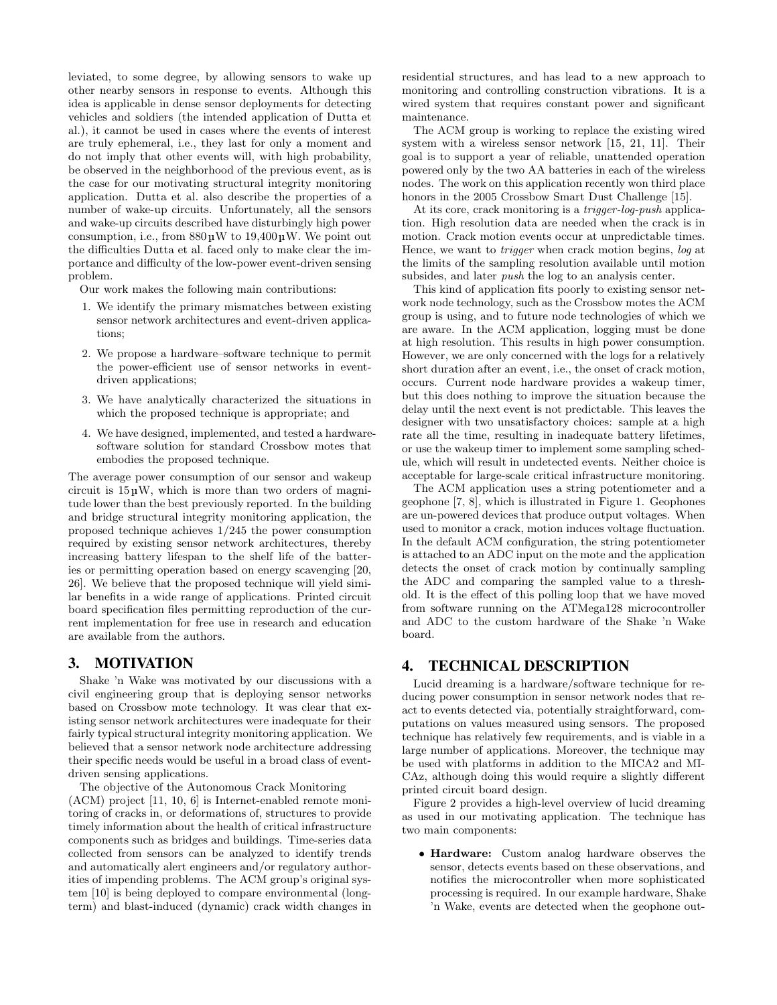leviated, to some degree, by allowing sensors to wake up other nearby sensors in response to events. Although this idea is applicable in dense sensor deployments for detecting vehicles and soldiers (the intended application of Dutta et al.), it cannot be used in cases where the events of interest are truly ephemeral, i.e., they last for only a moment and do not imply that other events will, with high probability, be observed in the neighborhood of the previous event, as is the case for our motivating structural integrity monitoring application. Dutta et al. also describe the properties of a number of wake-up circuits. Unfortunately, all the sensors and wake-up circuits described have disturbingly high power consumption, i.e., from  $880 \mu W$  to  $19,400 \mu W$ . We point out the difficulties Dutta et al. faced only to make clear the importance and difficulty of the low-power event-driven sensing problem.

Our work makes the following main contributions:

- 1. We identify the primary mismatches between existing sensor network architectures and event-driven applications;
- 2. We propose a hardware–software technique to permit the power-efficient use of sensor networks in eventdriven applications;
- 3. We have analytically characterized the situations in which the proposed technique is appropriate; and
- 4. We have designed, implemented, and tested a hardwaresoftware solution for standard Crossbow motes that embodies the proposed technique.

The average power consumption of our sensor and wakeup circuit is  $15 \mu W$ , which is more than two orders of magnitude lower than the best previously reported. In the building and bridge structural integrity monitoring application, the proposed technique achieves 1/245 the power consumption required by existing sensor network architectures, thereby increasing battery lifespan to the shelf life of the batteries or permitting operation based on energy scavenging [20, 26]. We believe that the proposed technique will yield similar benefits in a wide range of applications. Printed circuit board specification files permitting reproduction of the current implementation for free use in research and education are available from the authors.

# 3. MOTIVATION

Shake 'n Wake was motivated by our discussions with a civil engineering group that is deploying sensor networks based on Crossbow mote technology. It was clear that existing sensor network architectures were inadequate for their fairly typical structural integrity monitoring application. We believed that a sensor network node architecture addressing their specific needs would be useful in a broad class of eventdriven sensing applications.

The objective of the Autonomous Crack Monitoring (ACM) project [11, 10, 6] is Internet-enabled remote monitoring of cracks in, or deformations of, structures to provide timely information about the health of critical infrastructure components such as bridges and buildings. Time-series data collected from sensors can be analyzed to identify trends and automatically alert engineers and/or regulatory authorities of impending problems. The ACM group's original system [10] is being deployed to compare environmental (longterm) and blast-induced (dynamic) crack width changes in residential structures, and has lead to a new approach to monitoring and controlling construction vibrations. It is a wired system that requires constant power and significant maintenance.

The ACM group is working to replace the existing wired system with a wireless sensor network [15, 21, 11]. Their goal is to support a year of reliable, unattended operation powered only by the two AA batteries in each of the wireless nodes. The work on this application recently won third place honors in the 2005 Crossbow Smart Dust Challenge [15].

At its core, crack monitoring is a *trigger-log-push* application. High resolution data are needed when the crack is in motion. Crack motion events occur at unpredictable times. Hence, we want to trigger when crack motion begins, log at the limits of the sampling resolution available until motion subsides, and later *push* the log to an analysis center.

This kind of application fits poorly to existing sensor network node technology, such as the Crossbow motes the ACM group is using, and to future node technologies of which we are aware. In the ACM application, logging must be done at high resolution. This results in high power consumption. However, we are only concerned with the logs for a relatively short duration after an event, i.e., the onset of crack motion, occurs. Current node hardware provides a wakeup timer, but this does nothing to improve the situation because the delay until the next event is not predictable. This leaves the designer with two unsatisfactory choices: sample at a high rate all the time, resulting in inadequate battery lifetimes, or use the wakeup timer to implement some sampling schedule, which will result in undetected events. Neither choice is acceptable for large-scale critical infrastructure monitoring.

The ACM application uses a string potentiometer and a geophone [7, 8], which is illustrated in Figure 1. Geophones are un-powered devices that produce output voltages. When used to monitor a crack, motion induces voltage fluctuation. In the default ACM configuration, the string potentiometer is attached to an ADC input on the mote and the application detects the onset of crack motion by continually sampling the ADC and comparing the sampled value to a threshold. It is the effect of this polling loop that we have moved from software running on the ATMega128 microcontroller and ADC to the custom hardware of the Shake 'n Wake board.

# 4. TECHNICAL DESCRIPTION

Lucid dreaming is a hardware/software technique for reducing power consumption in sensor network nodes that react to events detected via, potentially straightforward, computations on values measured using sensors. The proposed technique has relatively few requirements, and is viable in a large number of applications. Moreover, the technique may be used with platforms in addition to the MICA2 and MI-CAz, although doing this would require a slightly different printed circuit board design.

Figure 2 provides a high-level overview of lucid dreaming as used in our motivating application. The technique has two main components:

• Hardware: Custom analog hardware observes the sensor, detects events based on these observations, and notifies the microcontroller when more sophisticated processing is required. In our example hardware, Shake 'n Wake, events are detected when the geophone out-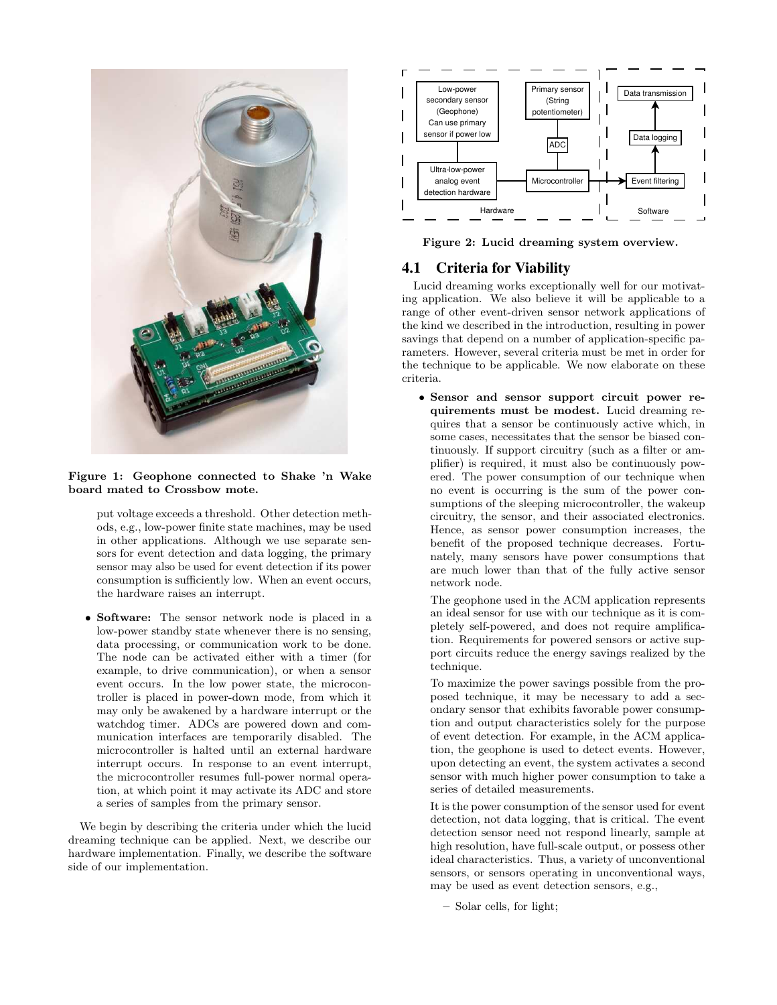

Figure 1: Geophone connected to Shake 'n Wake board mated to Crossbow mote.

put voltage exceeds a threshold. Other detection methods, e.g., low-power finite state machines, may be used in other applications. Although we use separate sensors for event detection and data logging, the primary sensor may also be used for event detection if its power consumption is sufficiently low. When an event occurs, the hardware raises an interrupt.

• Software: The sensor network node is placed in a low-power standby state whenever there is no sensing, data processing, or communication work to be done. The node can be activated either with a timer (for example, to drive communication), or when a sensor event occurs. In the low power state, the microcontroller is placed in power-down mode, from which it may only be awakened by a hardware interrupt or the watchdog timer. ADCs are powered down and communication interfaces are temporarily disabled. The microcontroller is halted until an external hardware interrupt occurs. In response to an event interrupt, the microcontroller resumes full-power normal operation, at which point it may activate its ADC and store a series of samples from the primary sensor.

We begin by describing the criteria under which the lucid dreaming technique can be applied. Next, we describe our hardware implementation. Finally, we describe the software side of our implementation.



Figure 2: Lucid dreaming system overview.

# 4.1 Criteria for Viability

Lucid dreaming works exceptionally well for our motivating application. We also believe it will be applicable to a range of other event-driven sensor network applications of the kind we described in the introduction, resulting in power savings that depend on a number of application-specific parameters. However, several criteria must be met in order for the technique to be applicable. We now elaborate on these criteria.

• Sensor and sensor support circuit power requirements must be modest. Lucid dreaming requires that a sensor be continuously active which, in some cases, necessitates that the sensor be biased continuously. If support circuitry (such as a filter or amplifier) is required, it must also be continuously powered. The power consumption of our technique when no event is occurring is the sum of the power consumptions of the sleeping microcontroller, the wakeup circuitry, the sensor, and their associated electronics. Hence, as sensor power consumption increases, the benefit of the proposed technique decreases. Fortunately, many sensors have power consumptions that are much lower than that of the fully active sensor network node.

The geophone used in the ACM application represents an ideal sensor for use with our technique as it is completely self-powered, and does not require amplification. Requirements for powered sensors or active support circuits reduce the energy savings realized by the technique.

To maximize the power savings possible from the proposed technique, it may be necessary to add a secondary sensor that exhibits favorable power consumption and output characteristics solely for the purpose of event detection. For example, in the ACM application, the geophone is used to detect events. However, upon detecting an event, the system activates a second sensor with much higher power consumption to take a series of detailed measurements.

It is the power consumption of the sensor used for event detection, not data logging, that is critical. The event detection sensor need not respond linearly, sample at high resolution, have full-scale output, or possess other ideal characteristics. Thus, a variety of unconventional sensors, or sensors operating in unconventional ways, may be used as event detection sensors, e.g.,

– Solar cells, for light;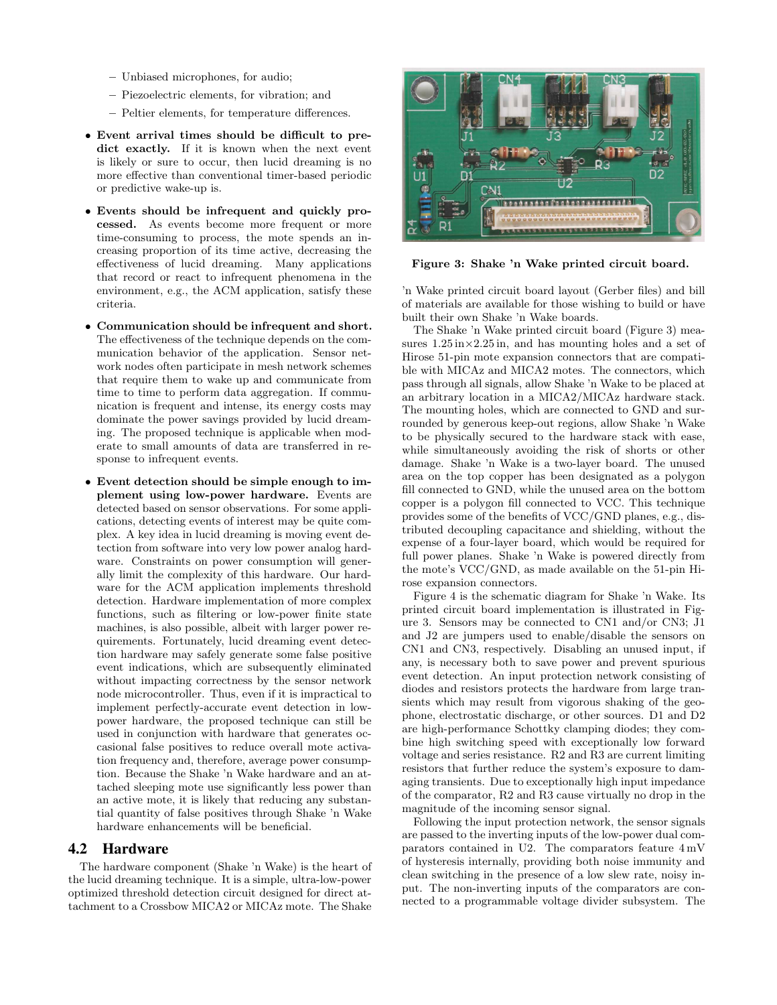- Unbiased microphones, for audio;
- Piezoelectric elements, for vibration; and
- Peltier elements, for temperature differences.
- Event arrival times should be difficult to predict exactly. If it is known when the next event is likely or sure to occur, then lucid dreaming is no more effective than conventional timer-based periodic or predictive wake-up is.
- Events should be infrequent and quickly processed. As events become more frequent or more time-consuming to process, the mote spends an increasing proportion of its time active, decreasing the effectiveness of lucid dreaming. Many applications that record or react to infrequent phenomena in the environment, e.g., the ACM application, satisfy these criteria.
- Communication should be infrequent and short. The effectiveness of the technique depends on the communication behavior of the application. Sensor network nodes often participate in mesh network schemes that require them to wake up and communicate from time to time to perform data aggregation. If communication is frequent and intense, its energy costs may dominate the power savings provided by lucid dreaming. The proposed technique is applicable when moderate to small amounts of data are transferred in response to infrequent events.
- Event detection should be simple enough to implement using low-power hardware. Events are detected based on sensor observations. For some applications, detecting events of interest may be quite complex. A key idea in lucid dreaming is moving event detection from software into very low power analog hardware. Constraints on power consumption will generally limit the complexity of this hardware. Our hardware for the ACM application implements threshold detection. Hardware implementation of more complex functions, such as filtering or low-power finite state machines, is also possible, albeit with larger power requirements. Fortunately, lucid dreaming event detection hardware may safely generate some false positive event indications, which are subsequently eliminated without impacting correctness by the sensor network node microcontroller. Thus, even if it is impractical to implement perfectly-accurate event detection in lowpower hardware, the proposed technique can still be used in conjunction with hardware that generates occasional false positives to reduce overall mote activation frequency and, therefore, average power consumption. Because the Shake 'n Wake hardware and an attached sleeping mote use significantly less power than an active mote, it is likely that reducing any substantial quantity of false positives through Shake 'n Wake hardware enhancements will be beneficial.

#### 4.2 Hardware

The hardware component (Shake 'n Wake) is the heart of the lucid dreaming technique. It is a simple, ultra-low-power optimized threshold detection circuit designed for direct attachment to a Crossbow MICA2 or MICAz mote. The Shake



Figure 3: Shake 'n Wake printed circuit board.

'n Wake printed circuit board layout (Gerber files) and bill of materials are available for those wishing to build or have built their own Shake 'n Wake boards.

The Shake 'n Wake printed circuit board (Figure 3) measures  $1.25 \text{ in} \times 2.25 \text{ in}$ , and has mounting holes and a set of Hirose 51-pin mote expansion connectors that are compatible with MICAz and MICA2 motes. The connectors, which pass through all signals, allow Shake 'n Wake to be placed at an arbitrary location in a MICA2/MICAz hardware stack. The mounting holes, which are connected to GND and surrounded by generous keep-out regions, allow Shake 'n Wake to be physically secured to the hardware stack with ease, while simultaneously avoiding the risk of shorts or other damage. Shake 'n Wake is a two-layer board. The unused area on the top copper has been designated as a polygon fill connected to GND, while the unused area on the bottom copper is a polygon fill connected to VCC. This technique provides some of the benefits of VCC/GND planes, e.g., distributed decoupling capacitance and shielding, without the expense of a four-layer board, which would be required for full power planes. Shake 'n Wake is powered directly from the mote's VCC/GND, as made available on the 51-pin Hirose expansion connectors.

Figure 4 is the schematic diagram for Shake 'n Wake. Its printed circuit board implementation is illustrated in Figure 3. Sensors may be connected to CN1 and/or CN3; J1 and J2 are jumpers used to enable/disable the sensors on CN1 and CN3, respectively. Disabling an unused input, if any, is necessary both to save power and prevent spurious event detection. An input protection network consisting of diodes and resistors protects the hardware from large transients which may result from vigorous shaking of the geophone, electrostatic discharge, or other sources. D1 and D2 are high-performance Schottky clamping diodes; they combine high switching speed with exceptionally low forward voltage and series resistance. R2 and R3 are current limiting resistors that further reduce the system's exposure to damaging transients. Due to exceptionally high input impedance of the comparator, R2 and R3 cause virtually no drop in the magnitude of the incoming sensor signal.

Following the input protection network, the sensor signals are passed to the inverting inputs of the low-power dual comparators contained in U2. The comparators feature 4 mV of hysteresis internally, providing both noise immunity and clean switching in the presence of a low slew rate, noisy input. The non-inverting inputs of the comparators are connected to a programmable voltage divider subsystem. The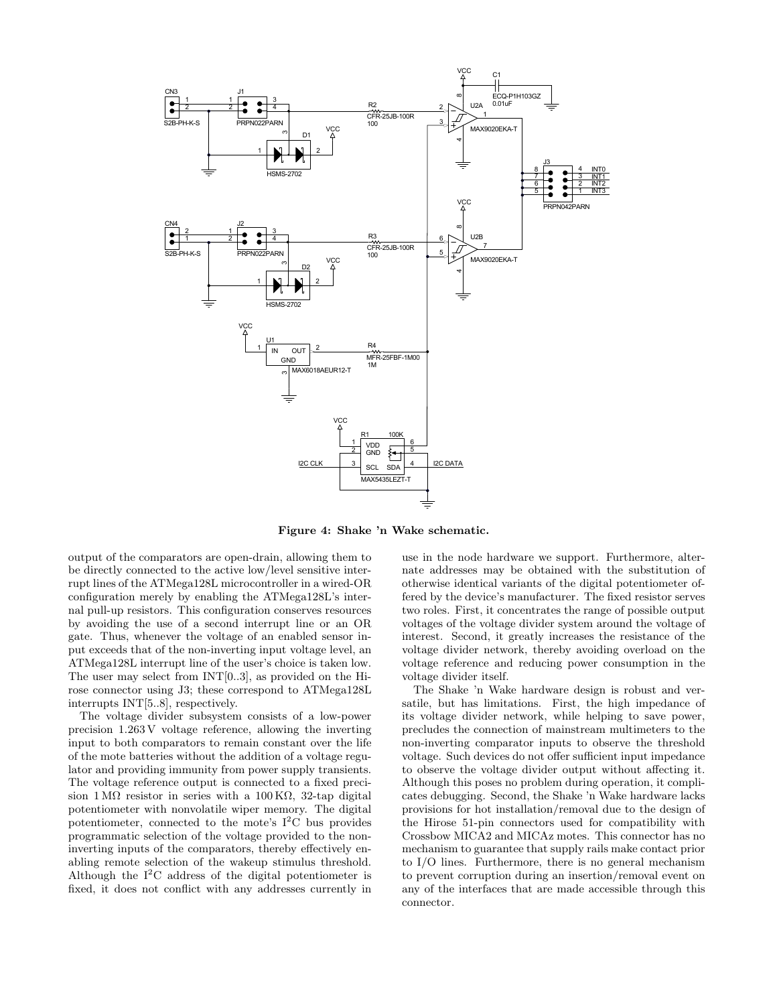

Figure 4: Shake 'n Wake schematic.

output of the comparators are open-drain, allowing them to be directly connected to the active low/level sensitive interrupt lines of the ATMega128L microcontroller in a wired-OR configuration merely by enabling the ATMega128L's internal pull-up resistors. This configuration conserves resources by avoiding the use of a second interrupt line or an OR gate. Thus, whenever the voltage of an enabled sensor input exceeds that of the non-inverting input voltage level, an ATMega128L interrupt line of the user's choice is taken low. The user may select from INT[0..3], as provided on the Hirose connector using J3; these correspond to ATMega128L interrupts INT[5..8], respectively.

The voltage divider subsystem consists of a low-power precision 1.263 V voltage reference, allowing the inverting input to both comparators to remain constant over the life of the mote batteries without the addition of a voltage regulator and providing immunity from power supply transients. The voltage reference output is connected to a fixed precision  $1 \text{ M}\Omega$  resistor in series with a  $100 \text{ K}\Omega$ , 32-tap digital potentiometer with nonvolatile wiper memory. The digital potentiometer, connected to the mote's  $I^2C$  bus provides programmatic selection of the voltage provided to the noninverting inputs of the comparators, thereby effectively enabling remote selection of the wakeup stimulus threshold. Although the  $I^2C$  address of the digital potentiometer is fixed, it does not conflict with any addresses currently in use in the node hardware we support. Furthermore, alternate addresses may be obtained with the substitution of otherwise identical variants of the digital potentiometer offered by the device's manufacturer. The fixed resistor serves two roles. First, it concentrates the range of possible output voltages of the voltage divider system around the voltage of interest. Second, it greatly increases the resistance of the voltage divider network, thereby avoiding overload on the voltage reference and reducing power consumption in the voltage divider itself.

The Shake 'n Wake hardware design is robust and versatile, but has limitations. First, the high impedance of its voltage divider network, while helping to save power, precludes the connection of mainstream multimeters to the non-inverting comparator inputs to observe the threshold voltage. Such devices do not offer sufficient input impedance to observe the voltage divider output without affecting it. Although this poses no problem during operation, it complicates debugging. Second, the Shake 'n Wake hardware lacks provisions for hot installation/removal due to the design of the Hirose 51-pin connectors used for compatibility with Crossbow MICA2 and MICAz motes. This connector has no mechanism to guarantee that supply rails make contact prior to I/O lines. Furthermore, there is no general mechanism to prevent corruption during an insertion/removal event on any of the interfaces that are made accessible through this connector.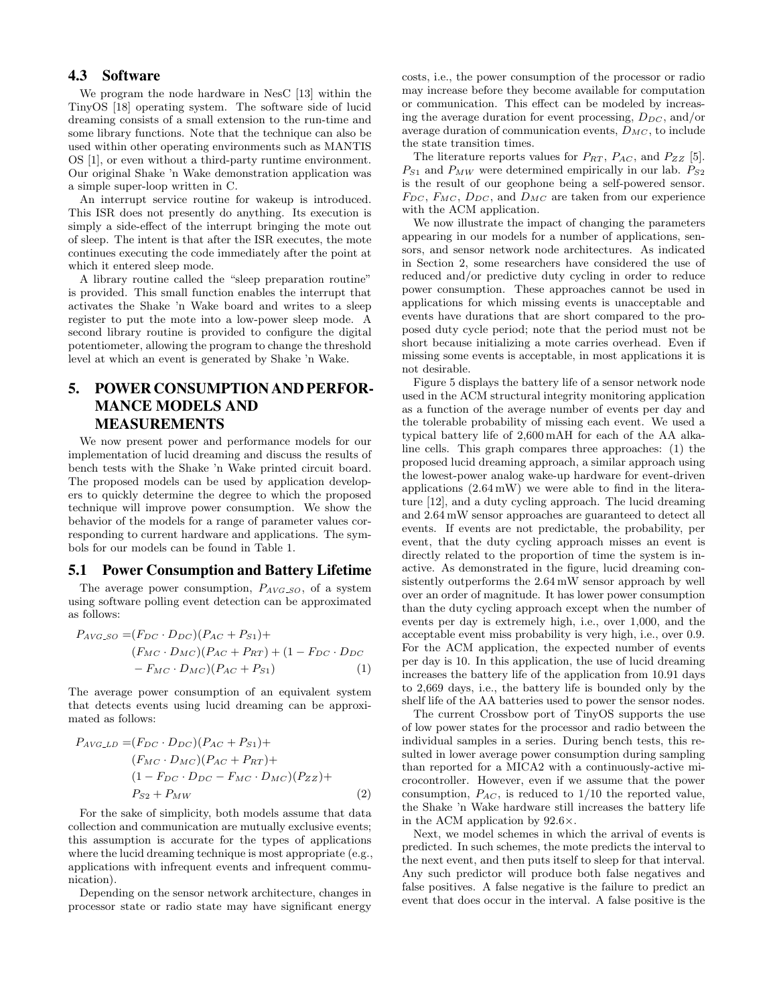## 4.3 Software

We program the node hardware in NesC [13] within the TinyOS [18] operating system. The software side of lucid dreaming consists of a small extension to the run-time and some library functions. Note that the technique can also be used within other operating environments such as MANTIS OS [1], or even without a third-party runtime environment. Our original Shake 'n Wake demonstration application was a simple super-loop written in C.

An interrupt service routine for wakeup is introduced. This ISR does not presently do anything. Its execution is simply a side-effect of the interrupt bringing the mote out of sleep. The intent is that after the ISR executes, the mote continues executing the code immediately after the point at which it entered sleep mode.

A library routine called the "sleep preparation routine" is provided. This small function enables the interrupt that activates the Shake 'n Wake board and writes to a sleep register to put the mote into a low-power sleep mode. A second library routine is provided to configure the digital potentiometer, allowing the program to change the threshold level at which an event is generated by Shake 'n Wake.

# 5. POWER CONSUMPTION AND PERFOR-MANCE MODELS AND MEASUREMENTS

We now present power and performance models for our implementation of lucid dreaming and discuss the results of bench tests with the Shake 'n Wake printed circuit board. The proposed models can be used by application developers to quickly determine the degree to which the proposed technique will improve power consumption. We show the behavior of the models for a range of parameter values corresponding to current hardware and applications. The symbols for our models can be found in Table 1.

#### 5.1 Power Consumption and Battery Lifetime

The average power consumption,  $P_{AVG \subset SO}$ , of a system using software polling event detection can be approximated as follows:

$$
P_{AVG,SO} = (F_{DC} \cdot D_{DC})(P_{AC} + P_{S1}) +
$$
  
\n
$$
(F_{MC} \cdot D_{MC})(P_{AC} + P_{RT}) + (1 - F_{DC} \cdot D_{DC})
$$
  
\n
$$
- F_{MC} \cdot D_{MC})(P_{AC} + P_{S1})
$$
\n(1)

The average power consumption of an equivalent system that detects events using lucid dreaming can be approximated as follows:

$$
P_{AVG\_{LD}} = (F_{DC} \cdot D_{DC})(P_{AC} + P_{S1}) +
$$
  
\n
$$
(F_{MC} \cdot D_{MC})(P_{AC} + P_{RT}) +
$$
  
\n
$$
(1 - F_{DC} \cdot D_{DC} - F_{MC} \cdot D_{MC})(P_{ZZ}) +
$$
  
\n
$$
P_{S2} + P_{MW}
$$
\n(2)

For the sake of simplicity, both models assume that data collection and communication are mutually exclusive events; this assumption is accurate for the types of applications where the lucid dreaming technique is most appropriate (e.g., applications with infrequent events and infrequent communication).

Depending on the sensor network architecture, changes in processor state or radio state may have significant energy

costs, i.e., the power consumption of the processor or radio may increase before they become available for computation or communication. This effect can be modeled by increasing the average duration for event processing,  $D_{DC}$ , and/or average duration of communication events,  $D_{MC}$ , to include the state transition times.

The literature reports values for  $P_{RT}$ ,  $P_{AC}$ , and  $P_{ZZ}$  [5].  $P_{S1}$  and  $P_{MW}$  were determined empirically in our lab.  $P_{S2}$ is the result of our geophone being a self-powered sensor.  $F_{DC}$ ,  $F_{MC}$ ,  $D_{DC}$ , and  $D_{MC}$  are taken from our experience with the ACM application.

We now illustrate the impact of changing the parameters appearing in our models for a number of applications, sensors, and sensor network node architectures. As indicated in Section 2, some researchers have considered the use of reduced and/or predictive duty cycling in order to reduce power consumption. These approaches cannot be used in applications for which missing events is unacceptable and events have durations that are short compared to the proposed duty cycle period; note that the period must not be short because initializing a mote carries overhead. Even if missing some events is acceptable, in most applications it is not desirable.

Figure 5 displays the battery life of a sensor network node used in the ACM structural integrity monitoring application as a function of the average number of events per day and the tolerable probability of missing each event. We used a typical battery life of 2,600 mAH for each of the AA alkaline cells. This graph compares three approaches: (1) the proposed lucid dreaming approach, a similar approach using the lowest-power analog wake-up hardware for event-driven applications (2.64 mW) we were able to find in the literature [12], and a duty cycling approach. The lucid dreaming and 2.64 mW sensor approaches are guaranteed to detect all events. If events are not predictable, the probability, per event, that the duty cycling approach misses an event is directly related to the proportion of time the system is inactive. As demonstrated in the figure, lucid dreaming consistently outperforms the 2.64 mW sensor approach by well over an order of magnitude. It has lower power consumption than the duty cycling approach except when the number of events per day is extremely high, i.e., over 1,000, and the acceptable event miss probability is very high, i.e., over 0.9. For the ACM application, the expected number of events per day is 10. In this application, the use of lucid dreaming increases the battery life of the application from 10.91 days to 2,669 days, i.e., the battery life is bounded only by the shelf life of the AA batteries used to power the sensor nodes.

The current Crossbow port of TinyOS supports the use of low power states for the processor and radio between the individual samples in a series. During bench tests, this resulted in lower average power consumption during sampling than reported for a MICA2 with a continuously-active microcontroller. However, even if we assume that the power consumption,  $P_{AC}$ , is reduced to  $1/10$  the reported value, the Shake 'n Wake hardware still increases the battery life in the ACM application by 92.6×.

Next, we model schemes in which the arrival of events is predicted. In such schemes, the mote predicts the interval to the next event, and then puts itself to sleep for that interval. Any such predictor will produce both false negatives and false positives. A false negative is the failure to predict an event that does occur in the interval. A false positive is the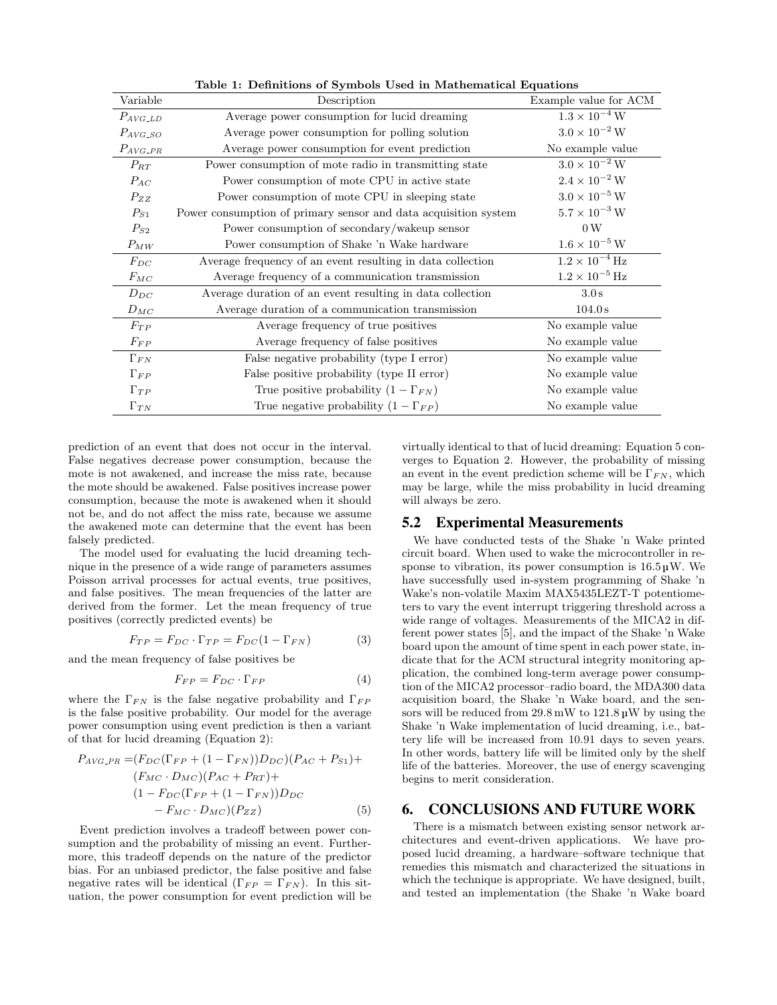| Variable        | Description                                                     | Example value for ACM      |
|-----------------|-----------------------------------------------------------------|----------------------------|
| $P_{AVG\_{LD}}$ | Average power consumption for lucid dreaming                    | $1.3 \times 10^{-4}$ W     |
| $P_{AVG_0SO}$   | Average power consumption for polling solution                  | $3.0 \times 10^{-2}$ W     |
| $P_{AVG\_PR}$   | Average power consumption for event prediction                  | No example value           |
| $P_{RT}$        | Power consumption of mote radio in transmitting state           | $3.0 \times 10^{-2}$ W     |
| $P_{AC}$        | Power consumption of mote CPU in active state                   | $2.4\times10^{-2}\,\rm{W}$ |
| $P_{ZZ}$        | Power consumption of mote CPU in sleeping state                 | $3.0\times10^{-5}\,\rm{W}$ |
| $P_{S1}$        | Power consumption of primary sensor and data acquisition system | $5.7 \times 10^{-3}$ W     |
| $P_{S2}$        | Power consumption of secondary/wakeup sensor                    | 0W                         |
| $P_{MW}$        | Power consumption of Shake 'n Wake hardware                     | $1.6\times10^{-5}\,\rm{W}$ |
| $F_{DC}$        | Average frequency of an event resulting in data collection      | $1.2 \times 10^{-4}$ Hz    |
| $F_{MC}$        | Average frequency of a communication transmission               | $1.2 \times 10^{-5}$ Hz    |
| $D_{DC}$        | Average duration of an event resulting in data collection       | 3.0 s                      |
| $D_{MC}$        | Average duration of a communication transmission                | 104.0 s                    |
| $F_{TP}$        | Average frequency of true positives                             | No example value           |
| $F_{FP}$        | Average frequency of false positives                            | No example value           |
| $\Gamma_{FN}$   | False negative probability (type I error)                       | No example value           |
| $\Gamma_{FP}$   | False positive probability (type II error)                      | No example value           |
| $\Gamma_{TP}$   | True positive probability $(1 - \Gamma_{FN})$                   | No example value           |
| $\Gamma_{TN}$   | True negative probability $(1 - \Gamma_{FP})$                   | No example value           |

Table 1: Definitions of Symbols Used in Mathematical Equations

prediction of an event that does not occur in the interval. False negatives decrease power consumption, because the mote is not awakened, and increase the miss rate, because the mote should be awakened. False positives increase power consumption, because the mote is awakened when it should not be, and do not affect the miss rate, because we assume the awakened mote can determine that the event has been falsely predicted.

The model used for evaluating the lucid dreaming technique in the presence of a wide range of parameters assumes Poisson arrival processes for actual events, true positives, and false positives. The mean frequencies of the latter are derived from the former. Let the mean frequency of true positives (correctly predicted events) be

$$
F_{TP} = F_{DC} \cdot \Gamma_{TP} = F_{DC} (1 - \Gamma_{FN}) \tag{3}
$$

and the mean frequency of false positives be

$$
F_{FP} = F_{DC} \cdot \Gamma_{FP} \tag{4}
$$

where the  $\Gamma_{FN}$  is the false negative probability and  $\Gamma_{FP}$ is the false positive probability. Our model for the average power consumption using event prediction is then a variant of that for lucid dreaming (Equation 2):

$$
P_{AVG\_PR} = (F_{DC}(\Gamma_{FP} + (1 - \Gamma_{FN}))D_{DC})(P_{AC} + P_{S1}) +
$$

$$
(F_{MC} \cdot D_{MC})(P_{AC} + P_{RT}) +
$$

$$
(1 - F_{DC}(\Gamma_{FP} + (1 - \Gamma_{FN}))D_{DC}
$$

$$
- F_{MC} \cdot D_{MC})(P_{ZZ})
$$
(5)

Event prediction involves a tradeoff between power consumption and the probability of missing an event. Furthermore, this tradeoff depends on the nature of the predictor bias. For an unbiased predictor, the false positive and false negative rates will be identical  $(\Gamma_{FP} = \Gamma_{FN})$ . In this situation, the power consumption for event prediction will be virtually identical to that of lucid dreaming: Equation 5 converges to Equation 2. However, the probability of missing an event in the event prediction scheme will be  $\Gamma_{FN}$ , which may be large, while the miss probability in lucid dreaming will always be zero.

## 5.2 Experimental Measurements

We have conducted tests of the Shake 'n Wake printed circuit board. When used to wake the microcontroller in response to vibration, its power consumption is  $16.5 \,\text{\textmu W}$ . We have successfully used in-system programming of Shake 'n Wake's non-volatile Maxim MAX5435LEZT-T potentiometers to vary the event interrupt triggering threshold across a wide range of voltages. Measurements of the MICA2 in different power states [5], and the impact of the Shake 'n Wake board upon the amount of time spent in each power state, indicate that for the ACM structural integrity monitoring application, the combined long-term average power consumption of the MICA2 processor–radio board, the MDA300 data acquisition board, the Shake 'n Wake board, and the sensors will be reduced from  $29.8 \,\mathrm{mW}$  to  $121.8 \,\mathrm{\upmu W}$  by using the Shake 'n Wake implementation of lucid dreaming, i.e., battery life will be increased from 10.91 days to seven years. In other words, battery life will be limited only by the shelf life of the batteries. Moreover, the use of energy scavenging begins to merit consideration.

# 6. CONCLUSIONS AND FUTURE WORK

There is a mismatch between existing sensor network architectures and event-driven applications. We have proposed lucid dreaming, a hardware–software technique that remedies this mismatch and characterized the situations in which the technique is appropriate. We have designed, built, and tested an implementation (the Shake 'n Wake board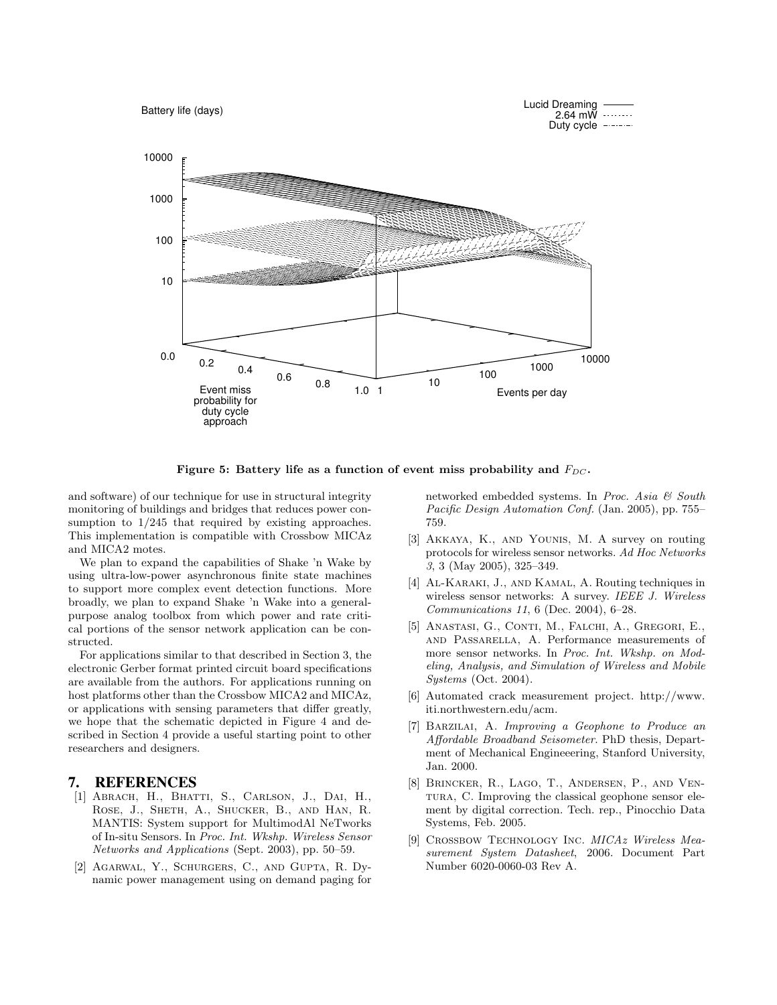Battery life (days)



Figure 5: Battery life as a function of event miss probability and  $F_{DC}$ .

and software) of our technique for use in structural integrity monitoring of buildings and bridges that reduces power consumption to  $1/245$  that required by existing approaches. This implementation is compatible with Crossbow MICAz and MICA2 motes.

We plan to expand the capabilities of Shake 'n Wake by using ultra-low-power asynchronous finite state machines to support more complex event detection functions. More broadly, we plan to expand Shake 'n Wake into a generalpurpose analog toolbox from which power and rate critical portions of the sensor network application can be constructed.

For applications similar to that described in Section 3, the electronic Gerber format printed circuit board specifications are available from the authors. For applications running on host platforms other than the Crossbow MICA2 and MICAz, or applications with sensing parameters that differ greatly, we hope that the schematic depicted in Figure 4 and described in Section 4 provide a useful starting point to other researchers and designers.

## 7. REFERENCES

- [1] Abrach, H., Bhatti, S., Carlson, J., Dai, H., Rose, J., Sheth, A., Shucker, B., and Han, R. MANTIS: System support for MultimodAl NeTworks of In-situ Sensors. In Proc. Int. Wkshp. Wireless Sensor Networks and Applications (Sept. 2003), pp. 50–59.
- [2] Agarwal, Y., Schurgers, C., and Gupta, R. Dynamic power management using on demand paging for

networked embedded systems. In Proc. Asia & South Pacific Design Automation Conf. (Jan. 2005), pp. 755– 759.

- [3] AKKAYA, K., AND YOUNIS, M. A survey on routing protocols for wireless sensor networks. Ad Hoc Networks 3, 3 (May 2005), 325–349.
- [4] AL-KARAKI, J., AND KAMAL, A. Routing techniques in wireless sensor networks: A survey. IEEE J. Wireless Communications 11, 6 (Dec. 2004), 6–28.
- [5] ANASTASI, G., CONTI, M., FALCHI, A., GREGORI, E., and Passarella, A. Performance measurements of more sensor networks. In Proc. Int. Wkshp. on Modeling, Analysis, and Simulation of Wireless and Mobile Systems (Oct. 2004).
- [6] Automated crack measurement project. http://www. iti.northwestern.edu/acm.
- [7] Barzilai, A. Improving a Geophone to Produce an Affordable Broadband Seisometer. PhD thesis, Department of Mechanical Engineeering, Stanford University, Jan. 2000.
- [8] Brincker, R., Lago, T., Andersen, P., and Ventura, C. Improving the classical geophone sensor element by digital correction. Tech. rep., Pinocchio Data Systems, Feb. 2005.
- [9] CROSSBOW TECHNOLOGY INC. MICAz Wireless Measurement System Datasheet, 2006. Document Part Number 6020-0060-03 Rev A.